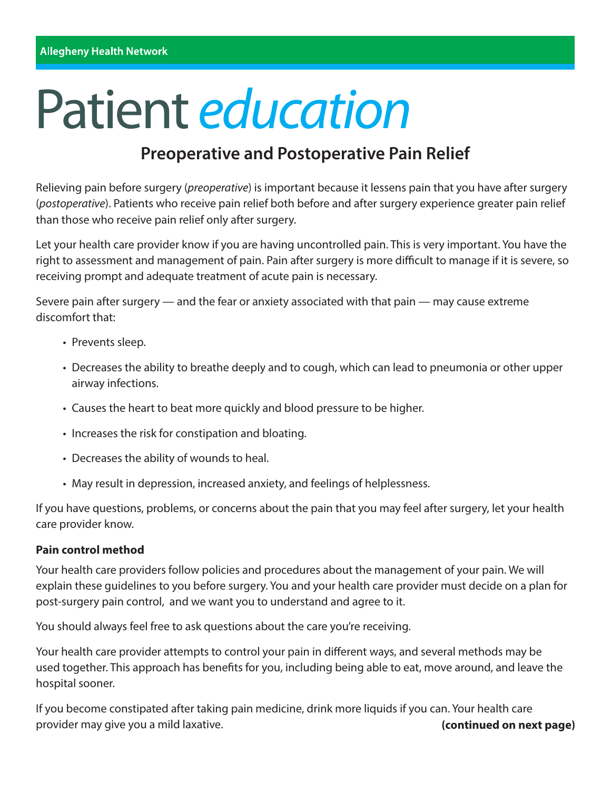# Patient *education*

# **Preoperative and Postoperative Pain Relief**

Relieving pain before surgery (*preoperative*) is important because it lessens pain that you have after surgery (*postoperative*). Patients who receive pain relief both before and after surgery experience greater pain relief than those who receive pain relief only after surgery.

Let your health care provider know if you are having uncontrolled pain. This is very important. You have the right to assessment and management of pain. Pain after surgery is more difficult to manage if it is severe, so receiving prompt and adequate treatment of acute pain is necessary.

Severe pain after surgery — and the fear or anxiety associated with that pain — may cause extreme discomfort that:

- Prevents sleep.
- Decreases the ability to breathe deeply and to cough, which can lead to pneumonia or other upper airway infections.
- Causes the heart to beat more quickly and blood pressure to be higher.
- Increases the risk for constipation and bloating.
- Decreases the ability of wounds to heal.
- May result in depression, increased anxiety, and feelings of helplessness.

If you have questions, problems, or concerns about the pain that you may feel after surgery, let your health care provider know.

### **Pain control method**

Your health care providers follow policies and procedures about the management of your pain. We will explain these guidelines to you before surgery. You and your health care provider must decide on a plan for post-surgery pain control, and we want you to understand and agree to it.

You should always feel free to ask questions about the care you're receiving.

Your health care provider attempts to control your pain in different ways, and several methods may be used together. This approach has benefits for you, including being able to eat, move around, and leave the hospital sooner.

If you become constipated after taking pain medicine, drink more liquids if you can. Your health care provider may give you a mild laxative. **Example 20 and 20 and 20 and 20 and 20 and 20 and 20 and 20 and 20 and 20 and 20 and 20 and 20 and 20 and 20 and 20 and 20 and 20 and 20 and 20 and 20 and 20 and 20 and 20 and 20 and**